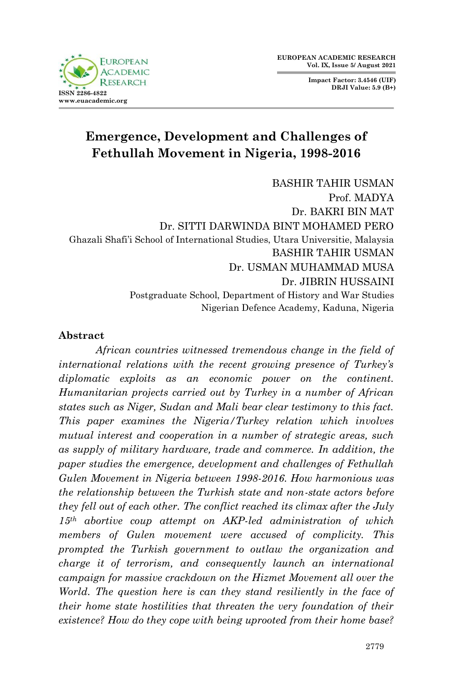**Impact Factor: 3.4546 (UIF) DRJI Value: 5.9 (B+)**



# **Emergence, Development and Challenges of Fethullah Movement in Nigeria, 1998-2016**

BASHIR TAHIR USMAN Prof. MADYA Dr. BAKRI BIN MAT Dr. SITTI DARWINDA BINT MOHAMED PERO Ghazali Shafi'i School of International Studies, Utara Universitie, Malaysia BASHIR TAHIR USMAN Dr. USMAN MUHAMMAD MUSA Dr. JIBRIN HUSSAINI Postgraduate School, Department of History and War Studies Nigerian Defence Academy, Kaduna, Nigeria

#### **Abstract**

*African countries witnessed tremendous change in the field of international relations with the recent growing presence of Turkey's diplomatic exploits as an economic power on the continent. Humanitarian projects carried out by Turkey in a number of African states such as Niger, Sudan and Mali bear clear testimony to this fact. This paper examines the Nigeria/Turkey relation which involves mutual interest and cooperation in a number of strategic areas, such as supply of military hardware, trade and commerce. In addition, the paper studies the emergence, development and challenges of Fethullah Gulen Movement in Nigeria between 1998-2016. How harmonious was the relationship between the Turkish state and non-state actors before they fell out of each other. The conflict reached its climax after the July 15th abortive coup attempt on AKP-led administration of which members of Gulen movement were accused of complicity. This prompted the Turkish government to outlaw the organization and charge it of terrorism, and consequently launch an international campaign for massive crackdown on the Hizmet Movement all over the World. The question here is can they stand resiliently in the face of their home state hostilities that threaten the very foundation of their existence? How do they cope with being uprooted from their home base?*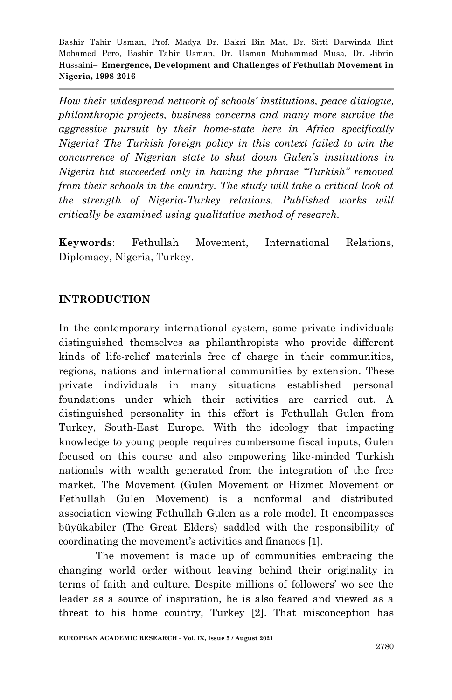*How their widespread network of schools' institutions, peace dialogue, philanthropic projects, business concerns and many more survive the aggressive pursuit by their home-state here in Africa specifically Nigeria? The Turkish foreign policy in this context failed to win the concurrence of Nigerian state to shut down Gulen's institutions in Nigeria but succeeded only in having the phrase "Turkish" removed from their schools in the country. The study will take a critical look at the strength of Nigeria-Turkey relations. Published works will critically be examined using qualitative method of research.* 

**Keywords**: Fethullah Movement, International Relations, Diplomacy, Nigeria, Turkey.

#### **INTRODUCTION**

In the contemporary international system, some private individuals distinguished themselves as philanthropists who provide different kinds of life-relief materials free of charge in their communities, regions, nations and international communities by extension. These private individuals in many situations established personal foundations under which their activities are carried out. A distinguished personality in this effort is Fethullah Gulen from Turkey, South-East Europe. With the ideology that impacting knowledge to young people requires cumbersome fiscal inputs, Gulen focused on this course and also empowering like-minded Turkish nationals with wealth generated from the integration of the free market. The Movement (Gulen Movement or Hizmet Movement or Fethullah Gulen Movement) is a nonformal and distributed association viewing Fethullah Gulen as a role model. It encompasses büyükabiler (The Great Elders) saddled with the responsibility of coordinating the movement's activities and finances [1].

The movement is made up of communities embracing the changing world order without leaving behind their originality in terms of faith and culture. Despite millions of followers' wo see the leader as a source of inspiration, he is also feared and viewed as a threat to his home country, Turkey [2]. That misconception has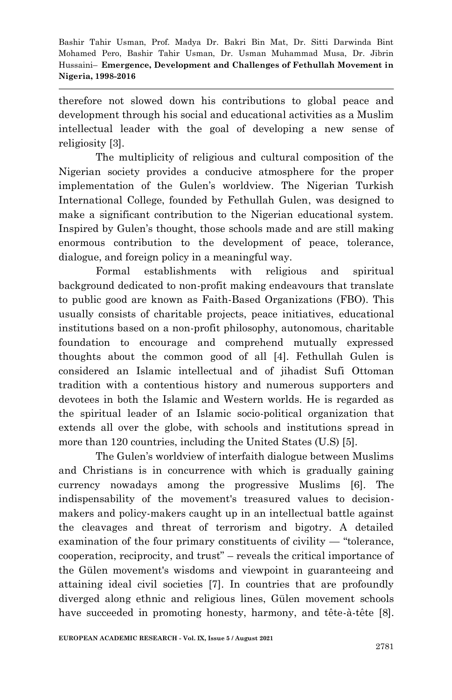therefore not slowed down his contributions to global peace and development through his social and educational activities as a Muslim intellectual leader with the goal of developing a new sense of religiosity [3].

The multiplicity of religious and cultural composition of the Nigerian society provides a conducive atmosphere for the proper implementation of the Gulen's worldview. The Nigerian Turkish International College, founded by Fethullah Gulen, was designed to make a significant contribution to the Nigerian educational system. Inspired by Gulen's thought, those schools made and are still making enormous contribution to the development of peace, tolerance, dialogue, and foreign policy in a meaningful way.

Formal establishments with religious and spiritual background dedicated to non-profit making endeavours that translate to public good are known as Faith-Based Organizations (FBO). This usually consists of charitable projects, peace initiatives, educational institutions based on a non-profit philosophy, autonomous, charitable foundation to encourage and comprehend mutually expressed thoughts about the common good of all [4]. Fethullah Gulen is considered an Islamic intellectual and of jihadist Sufi Ottoman tradition with a contentious history and numerous supporters and devotees in both the Islamic and Western worlds. He is regarded as the spiritual leader of an Islamic socio-political organization that extends all over the globe, with schools and institutions spread in more than 120 countries, including the United States (U.S) [5].

The Gulen's worldview of interfaith dialogue between Muslims and Christians is in concurrence with which is gradually gaining currency nowadays among the progressive Muslims [6]. The indispensability of the movement's treasured values to decisionmakers and policy-makers caught up in an intellectual battle against the cleavages and threat of terrorism and bigotry. A detailed examination of the four primary constituents of civility  $-$  "tolerance,  $cooperation, reciprocity, and trust" – reveals the critical importance of$ the Gülen movement's wisdoms and viewpoint in guaranteeing and attaining ideal civil societies [7]. In countries that are profoundly diverged along ethnic and religious lines, Gülen movement schools have succeeded in promoting honesty, harmony, and tête-à-tête [8].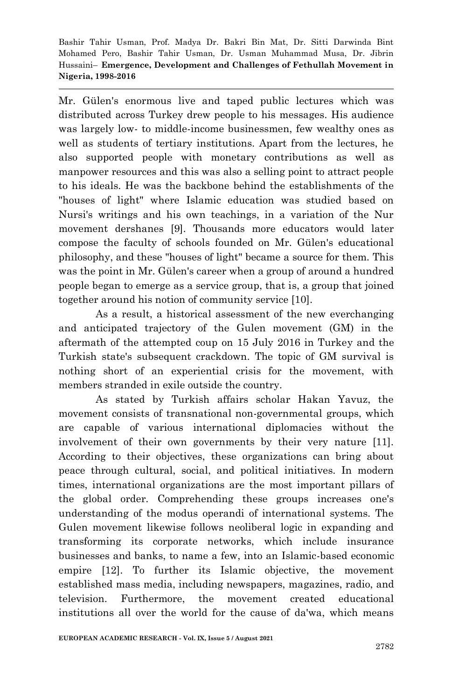Mr. Gülen's enormous live and taped public lectures which was distributed across Turkey drew people to his messages. His audience was largely low- to middle-income businessmen, few wealthy ones as well as students of tertiary institutions. Apart from the lectures, he also supported people with monetary contributions as well as manpower resources and this was also a selling point to attract people to his ideals. He was the backbone behind the establishments of the "houses of light" where Islamic education was studied based on Nursi's writings and his own teachings, in a variation of the Nur movement dershanes [9]. Thousands more educators would later compose the faculty of schools founded on Mr. Gülen's educational philosophy, and these "houses of light" became a source for them. This was the point in Mr. Gülen's career when a group of around a hundred people began to emerge as a service group, that is, a group that joined together around his notion of community service [10].

As a result, a historical assessment of the new everchanging and anticipated trajectory of the Gulen movement (GM) in the aftermath of the attempted coup on 15 July 2016 in Turkey and the Turkish state's subsequent crackdown. The topic of GM survival is nothing short of an experiential crisis for the movement, with members stranded in exile outside the country.

As stated by Turkish affairs scholar Hakan Yavuz, the movement consists of transnational non-governmental groups, which are capable of various international diplomacies without the involvement of their own governments by their very nature [11]. According to their objectives, these organizations can bring about peace through cultural, social, and political initiatives. In modern times, international organizations are the most important pillars of the global order. Comprehending these groups increases one's understanding of the modus operandi of international systems. The Gulen movement likewise follows neoliberal logic in expanding and transforming its corporate networks, which include insurance businesses and banks, to name a few, into an Islamic-based economic empire [12]. To further its Islamic objective, the movement established mass media, including newspapers, magazines, radio, and television. Furthermore, the movement created educational institutions all over the world for the cause of da'wa, which means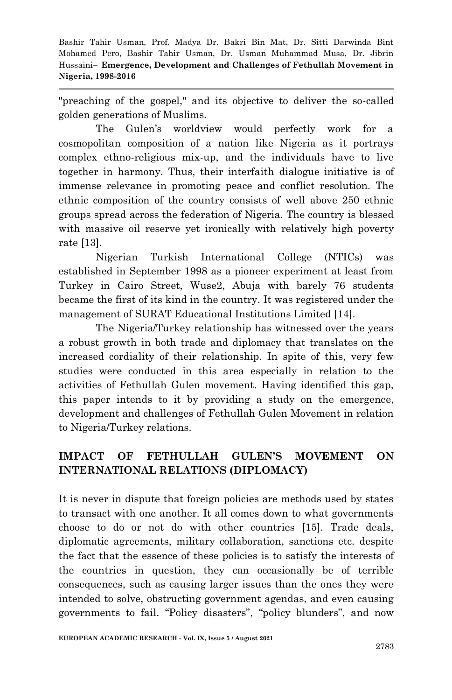"preaching of the gospel," and its objective to deliver the so-called golden generations of Muslims.

The Gulen's worldview would perfectly work for a cosmopolitan composition of a nation like Nigeria as it portrays complex ethno-religious mix-up, and the individuals have to live together in harmony. Thus, their interfaith dialogue initiative is of immense relevance in promoting peace and conflict resolution. The ethnic composition of the country consists of well above 250 ethnic groups spread across the federation of Nigeria. The country is blessed with massive oil reserve yet ironically with relatively high poverty rate [13].

Nigerian Turkish International College (NTICs) was established in September 1998 as a pioneer experiment at least from Turkey in Cairo Street, Wuse2, Abuja with barely 76 students became the first of its kind in the country. It was registered under the management of SURAT Educational Institutions Limited [14].

The Nigeria/Turkey relationship has witnessed over the years a robust growth in both trade and diplomacy that translates on the increased cordiality of their relationship. In spite of this, very few studies were conducted in this area especially in relation to the activities of Fethullah Gulen movement. Having identified this gap, this paper intends to it by providing a study on the emergence, development and challenges of Fethullah Gulen Movement in relation to Nigeria/Turkey relations.

## **IMPACT OF FETHULLAH GULEN'S MOVEMENT ON INTERNATIONAL RELATIONS (DIPLOMACY)**

It is never in dispute that foreign policies are methods used by states to transact with one another. It all comes down to what governments choose to do or not do with other countries [15]. Trade deals, diplomatic agreements, military collaboration, sanctions etc. despite the fact that the essence of these policies is to satisfy the interests of the countries in question, they can occasionally be of terrible consequences, such as causing larger issues than the ones they were intended to solve, obstructing government agendas, and even causing governments to fail. "Policy disasters", "policy blunders", and now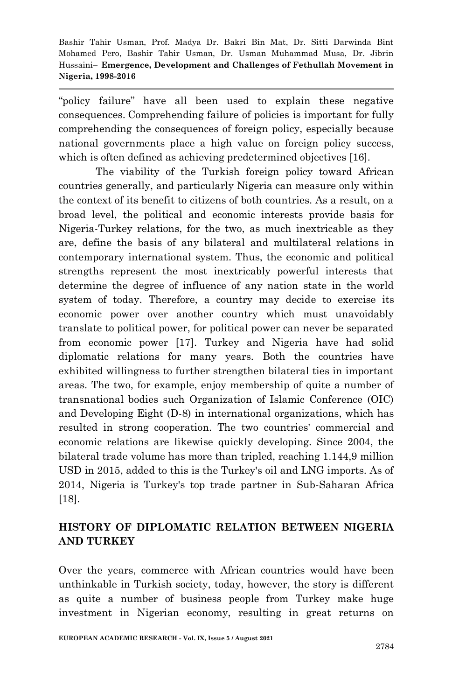"policy failure" have all been used to explain these negative consequences. Comprehending failure of policies is important for fully comprehending the consequences of foreign policy, especially because national governments place a high value on foreign policy success, which is often defined as achieving predetermined objectives [16].

The viability of the Turkish foreign policy toward African countries generally, and particularly Nigeria can measure only within the context of its benefit to citizens of both countries. As a result, on a broad level, the political and economic interests provide basis for Nigeria-Turkey relations, for the two, as much inextricable as they are, define the basis of any bilateral and multilateral relations in contemporary international system. Thus, the economic and political strengths represent the most inextricably powerful interests that determine the degree of influence of any nation state in the world system of today. Therefore, a country may decide to exercise its economic power over another country which must unavoidably translate to political power, for political power can never be separated from economic power [17]. Turkey and Nigeria have had solid diplomatic relations for many years. Both the countries have exhibited willingness to further strengthen bilateral ties in important areas. The two, for example, enjoy membership of quite a number of transnational bodies such Organization of Islamic Conference (OIC) and Developing Eight (D-8) in international organizations, which has resulted in strong cooperation. The two countries' commercial and economic relations are likewise quickly developing. Since 2004, the bilateral trade volume has more than tripled, reaching 1.144,9 million USD in 2015, added to this is the Turkey's oil and LNG imports. As of 2014, Nigeria is Turkey's top trade partner in Sub-Saharan Africa [18].

#### **HISTORY OF DIPLOMATIC RELATION BETWEEN NIGERIA AND TURKEY**

Over the years, commerce with African countries would have been unthinkable in Turkish society, today, however, the story is different as quite a number of business people from Turkey make huge investment in Nigerian economy, resulting in great returns on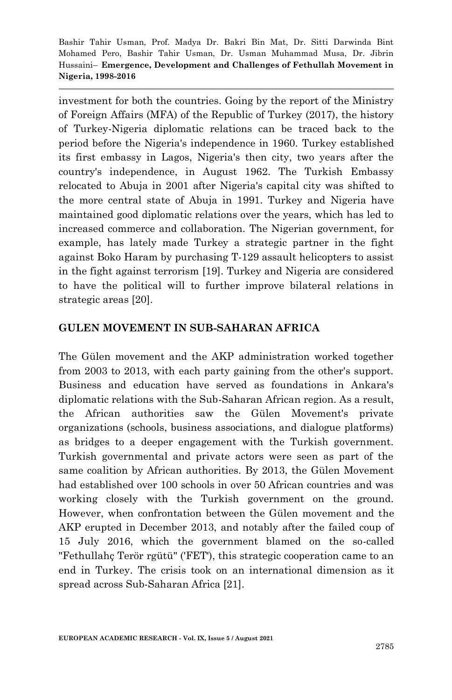investment for both the countries. Going by the report of the Ministry of Foreign Affairs (MFA) of the Republic of Turkey (2017), the history of Turkey-Nigeria diplomatic relations can be traced back to the period before the Nigeria's independence in 1960. Turkey established its first embassy in Lagos, Nigeria's then city, two years after the country's independence, in August 1962. The Turkish Embassy relocated to Abuja in 2001 after Nigeria's capital city was shifted to the more central state of Abuja in 1991. Turkey and Nigeria have maintained good diplomatic relations over the years, which has led to increased commerce and collaboration. The Nigerian government, for example, has lately made Turkey a strategic partner in the fight against Boko Haram by purchasing T-129 assault helicopters to assist in the fight against terrorism [19]. Turkey and Nigeria are considered to have the political will to further improve bilateral relations in strategic areas [20].

#### **GULEN MOVEMENT IN SUB-SAHARAN AFRICA**

The Gülen movement and the AKP administration worked together from 2003 to 2013, with each party gaining from the other's support. Business and education have served as foundations in Ankara's diplomatic relations with the Sub-Saharan African region. As a result, the African authorities saw the Gülen Movement's private organizations (schools, business associations, and dialogue platforms) as bridges to a deeper engagement with the Turkish government. Turkish governmental and private actors were seen as part of the same coalition by African authorities. By 2013, the Gülen Movement had established over 100 schools in over 50 African countries and was working closely with the Turkish government on the ground. However, when confrontation between the Gülen movement and the AKP erupted in December 2013, and notably after the failed coup of 15 July 2016, which the government blamed on the so-called "Fethullahç Terör rgütü" ('FET'), this strategic cooperation came to an end in Turkey. The crisis took on an international dimension as it spread across Sub-Saharan Africa [21].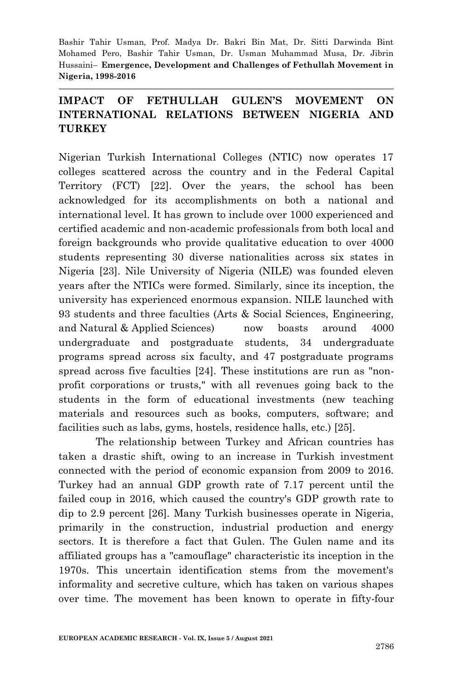#### **IMPACT OF FETHULLAH GULEN'S MOVEMENT ON INTERNATIONAL RELATIONS BETWEEN NIGERIA AND TURKEY**

Nigerian Turkish International Colleges (NTIC) now operates 17 colleges scattered across the country and in the Federal Capital Territory (FCT) [22]. Over the years, the school has been acknowledged for its accomplishments on both a national and international level. It has grown to include over 1000 experienced and certified academic and non-academic professionals from both local and foreign backgrounds who provide qualitative education to over 4000 students representing 30 diverse nationalities across six states in Nigeria [23]. Nile University of Nigeria (NILE) was founded eleven years after the NTICs were formed. Similarly, since its inception, the university has experienced enormous expansion. NILE launched with 93 students and three faculties (Arts & Social Sciences, Engineering, and Natural & Applied Sciences) now boasts around 4000 undergraduate and postgraduate students, 34 undergraduate programs spread across six faculty, and 47 postgraduate programs spread across five faculties [24]. These institutions are run as "nonprofit corporations or trusts," with all revenues going back to the students in the form of educational investments (new teaching materials and resources such as books, computers, software; and facilities such as labs, gyms, hostels, residence halls, etc.) [25].

The relationship between Turkey and African countries has taken a drastic shift, owing to an increase in Turkish investment connected with the period of economic expansion from 2009 to 2016. Turkey had an annual GDP growth rate of 7.17 percent until the failed coup in 2016, which caused the country's GDP growth rate to dip to 2.9 percent [26]. Many Turkish businesses operate in Nigeria, primarily in the construction, industrial production and energy sectors. It is therefore a fact that Gulen. The Gulen name and its affiliated groups has a "camouflage" characteristic its inception in the 1970s. This uncertain identification stems from the movement's informality and secretive culture, which has taken on various shapes over time. The movement has been known to operate in fifty-four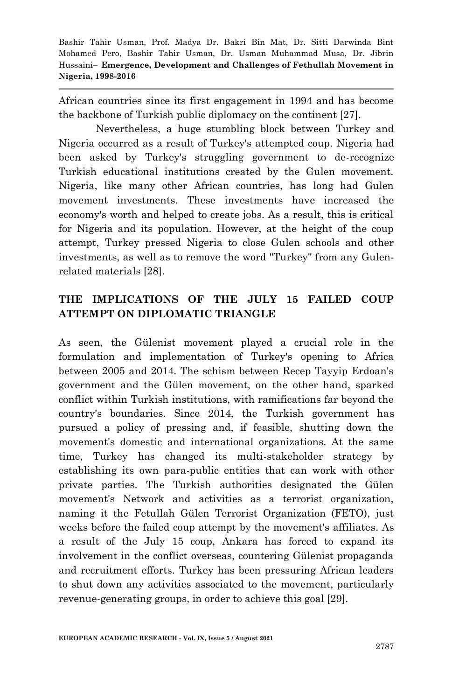African countries since its first engagement in 1994 and has become the backbone of Turkish public diplomacy on the continent [27].

Nevertheless, a huge stumbling block between Turkey and Nigeria occurred as a result of Turkey's attempted coup. Nigeria had been asked by Turkey's struggling government to de-recognize Turkish educational institutions created by the Gulen movement. Nigeria, like many other African countries, has long had Gulen movement investments. These investments have increased the economy's worth and helped to create jobs. As a result, this is critical for Nigeria and its population. However, at the height of the coup attempt, Turkey pressed Nigeria to close Gulen schools and other investments, as well as to remove the word "Turkey" from any Gulenrelated materials [28].

## **THE IMPLICATIONS OF THE JULY 15 FAILED COUP ATTEMPT ON DIPLOMATIC TRIANGLE**

As seen, the Gülenist movement played a crucial role in the formulation and implementation of Turkey's opening to Africa between 2005 and 2014. The schism between Recep Tayyip Erdoan's government and the Gülen movement, on the other hand, sparked conflict within Turkish institutions, with ramifications far beyond the country's boundaries. Since 2014, the Turkish government has pursued a policy of pressing and, if feasible, shutting down the movement's domestic and international organizations. At the same time, Turkey has changed its multi-stakeholder strategy by establishing its own para-public entities that can work with other private parties. The Turkish authorities designated the Gülen movement's Network and activities as a terrorist organization, naming it the Fetullah Gülen Terrorist Organization (FETO), just weeks before the failed coup attempt by the movement's affiliates. As a result of the July 15 coup, Ankara has forced to expand its involvement in the conflict overseas, countering Gülenist propaganda and recruitment efforts. Turkey has been pressuring African leaders to shut down any activities associated to the movement, particularly revenue-generating groups, in order to achieve this goal [29].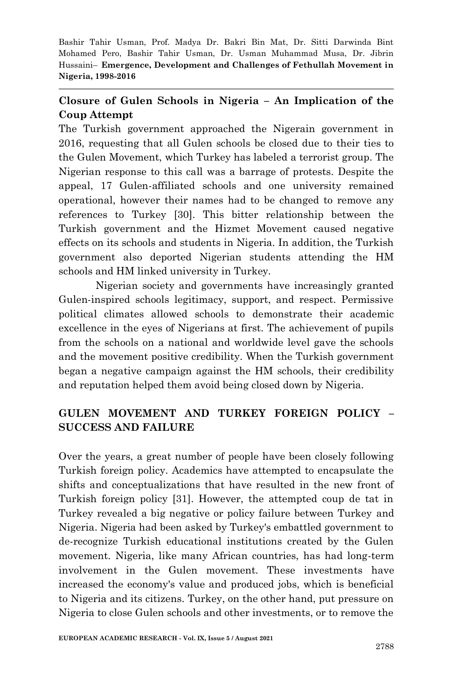#### **Closure of Gulen Schools in Nigeria – An Implication of the Coup Attempt**

The Turkish government approached the Nigerain government in 2016, requesting that all Gulen schools be closed due to their ties to the Gulen Movement, which Turkey has labeled a terrorist group. The Nigerian response to this call was a barrage of protests. Despite the appeal, 17 Gulen-affiliated schools and one university remained operational, however their names had to be changed to remove any references to Turkey [30]. This bitter relationship between the Turkish government and the Hizmet Movement caused negative effects on its schools and students in Nigeria. In addition, the Turkish government also deported Nigerian students attending the HM schools and HM linked university in Turkey.

Nigerian society and governments have increasingly granted Gulen-inspired schools legitimacy, support, and respect. Permissive political climates allowed schools to demonstrate their academic excellence in the eyes of Nigerians at first. The achievement of pupils from the schools on a national and worldwide level gave the schools and the movement positive credibility. When the Turkish government began a negative campaign against the HM schools, their credibility and reputation helped them avoid being closed down by Nigeria.

## **GULEN MOVEMENT AND TURKEY FOREIGN POLICY – SUCCESS AND FAILURE**

Over the years, a great number of people have been closely following Turkish foreign policy. Academics have attempted to encapsulate the shifts and conceptualizations that have resulted in the new front of Turkish foreign policy [31]. However, the attempted coup de tat in Turkey revealed a big negative or policy failure between Turkey and Nigeria. Nigeria had been asked by Turkey's embattled government to de-recognize Turkish educational institutions created by the Gulen movement. Nigeria, like many African countries, has had long-term involvement in the Gulen movement. These investments have increased the economy's value and produced jobs, which is beneficial to Nigeria and its citizens. Turkey, on the other hand, put pressure on Nigeria to close Gulen schools and other investments, or to remove the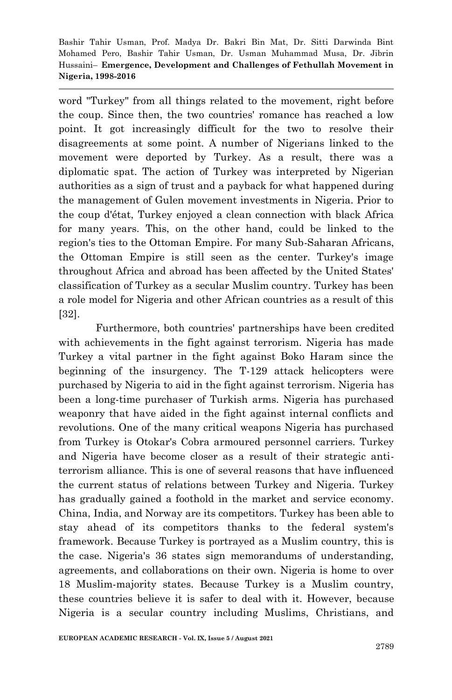word "Turkey" from all things related to the movement, right before the coup. Since then, the two countries' romance has reached a low point. It got increasingly difficult for the two to resolve their disagreements at some point. A number of Nigerians linked to the movement were deported by Turkey. As a result, there was a diplomatic spat. The action of Turkey was interpreted by Nigerian authorities as a sign of trust and a payback for what happened during the management of Gulen movement investments in Nigeria. Prior to the coup d'état, Turkey enjoyed a clean connection with black Africa for many years. This, on the other hand, could be linked to the region's ties to the Ottoman Empire. For many Sub-Saharan Africans, the Ottoman Empire is still seen as the center. Turkey's image throughout Africa and abroad has been affected by the United States' classification of Turkey as a secular Muslim country. Turkey has been a role model for Nigeria and other African countries as a result of this [32].

Furthermore, both countries' partnerships have been credited with achievements in the fight against terrorism. Nigeria has made Turkey a vital partner in the fight against Boko Haram since the beginning of the insurgency. The T-129 attack helicopters were purchased by Nigeria to aid in the fight against terrorism. Nigeria has been a long-time purchaser of Turkish arms. Nigeria has purchased weaponry that have aided in the fight against internal conflicts and revolutions. One of the many critical weapons Nigeria has purchased from Turkey is Otokar's Cobra armoured personnel carriers. Turkey and Nigeria have become closer as a result of their strategic antiterrorism alliance. This is one of several reasons that have influenced the current status of relations between Turkey and Nigeria. Turkey has gradually gained a foothold in the market and service economy. China, India, and Norway are its competitors. Turkey has been able to stay ahead of its competitors thanks to the federal system's framework. Because Turkey is portrayed as a Muslim country, this is the case. Nigeria's 36 states sign memorandums of understanding, agreements, and collaborations on their own. Nigeria is home to over 18 Muslim-majority states. Because Turkey is a Muslim country, these countries believe it is safer to deal with it. However, because Nigeria is a secular country including Muslims, Christians, and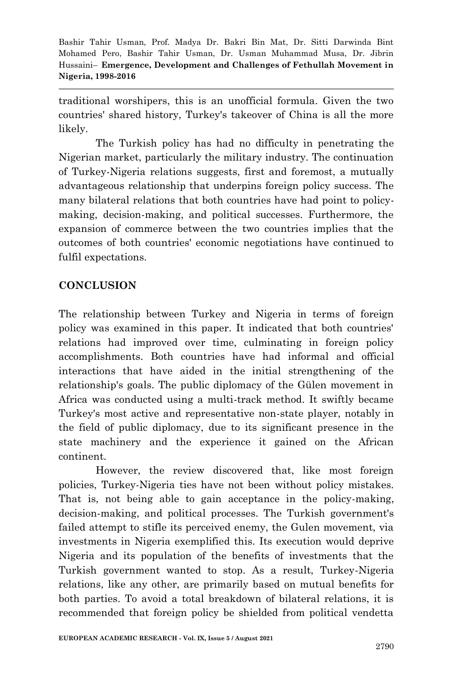traditional worshipers, this is an unofficial formula. Given the two countries' shared history, Turkey's takeover of China is all the more likely.

The Turkish policy has had no difficulty in penetrating the Nigerian market, particularly the military industry. The continuation of Turkey-Nigeria relations suggests, first and foremost, a mutually advantageous relationship that underpins foreign policy success. The many bilateral relations that both countries have had point to policymaking, decision-making, and political successes. Furthermore, the expansion of commerce between the two countries implies that the outcomes of both countries' economic negotiations have continued to fulfil expectations.

#### **CONCLUSION**

The relationship between Turkey and Nigeria in terms of foreign policy was examined in this paper. It indicated that both countries' relations had improved over time, culminating in foreign policy accomplishments. Both countries have had informal and official interactions that have aided in the initial strengthening of the relationship's goals. The public diplomacy of the Gülen movement in Africa was conducted using a multi-track method. It swiftly became Turkey's most active and representative non-state player, notably in the field of public diplomacy, due to its significant presence in the state machinery and the experience it gained on the African continent.

However, the review discovered that, like most foreign policies, Turkey-Nigeria ties have not been without policy mistakes. That is, not being able to gain acceptance in the policy-making, decision-making, and political processes. The Turkish government's failed attempt to stifle its perceived enemy, the Gulen movement, via investments in Nigeria exemplified this. Its execution would deprive Nigeria and its population of the benefits of investments that the Turkish government wanted to stop. As a result, Turkey-Nigeria relations, like any other, are primarily based on mutual benefits for both parties. To avoid a total breakdown of bilateral relations, it is recommended that foreign policy be shielded from political vendetta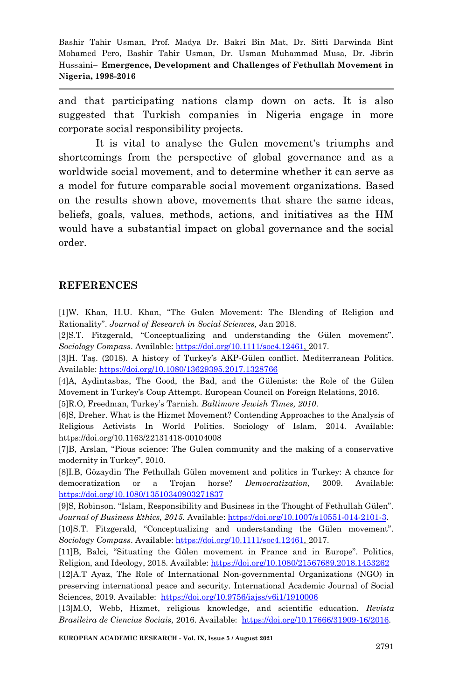and that participating nations clamp down on acts. It is also suggested that Turkish companies in Nigeria engage in more corporate social responsibility projects.

It is vital to analyse the Gulen movement's triumphs and shortcomings from the perspective of global governance and as a worldwide social movement, and to determine whether it can serve as a model for future comparable social movement organizations. Based on the results shown above, movements that share the same ideas, beliefs, goals, values, methods, actions, and initiatives as the HM would have a substantial impact on global governance and the social order.

#### **REFERENCES**

[1]W. Khan, H.U. Khan, "The Gulen Movement: The Blending of Religion and Rationality‖. *Journal of Research in Social Sciences,* Jan 2018.

[2]S.T. Fitzgerald, "Conceptualizing and understanding the Gülen movement". *Sociology Compass*. Available: [https://doi.org/10.1111/soc4.12461,](https://doi.org/10.1111/soc4.12461) 2017.

[3]H. Taş. (2018). A history of Turkey's AKP-Gülen conflict. Mediterranean Politics. Available[: https://doi.org/10.1080/13629395.2017.1328766](https://doi.org/10.1080/13629395.2017.1328766)

[4]A, Aydintasbas, The Good, the Bad, and the Gülenists: the Role of the Gülen Movement in Turkey's Coup Attempt. European Council on Foreign Relations, 2016. [5]R.O, Freedman, Turkey's Tarnish. *Baltimore Jewish Times, 2010*.

[6]S, Dreher. What is the Hizmet Movement? Contending Approaches to the Analysis of Religious Activists In World Politics. Sociology of Islam, 2014. Available: https://doi.org/10.1163/22131418-00104008

[7]B, Arslan, "Pious science: The Gulen community and the making of a conservative modernity in Turkey", 2010.

[8]I.B, Gözaydin The Fethullah Gülen movement and politics in Turkey: A chance for democratization or a Trojan horse? *Democratization,* 2009. Available: <https://doi.org/10.1080/13510340903271837>

[9]S, Robinson. "Islam, Responsibility and Business in the Thought of Fethullah Gülen". *Journal of Business Ethics, 2015.* Available[: https://doi.org/10.1007/s10551-014-2101-3.](https://doi.org/10.1007/s10551-014-2101-3) 

[10]S.T. Fitzgerald, "Conceptualizing and understanding the Gülen movement". *Sociology Compass*. Available: [https://doi.org/10.1111/soc4.12461,](https://doi.org/10.1111/soc4.12461) 2017.

[11]B, Balci, "Situating the Gülen movement in France and in Europe". Politics, Religion, and Ideology, 2018. Available:<https://doi.org/10.1080/21567689.2018.1453262>

[12]A.T Ayaz, The Role of International Non-governmental Organizations (NGO) in preserving international peace and security. International Academic Journal of Social Sciences, 2019. Available: https://doi.org/10.9756/iajss/v6i1/1910006

[13]M.O, Webb, Hizmet, religious knowledge, and scientific education. *Revista Brasileira de Ciencias Sociais,* 2016. Available: [https://doi.org/10.17666/31909-16/2016.](https://doi.org/10.17666/31909-16/2016)

**EUROPEAN ACADEMIC RESEARCH - Vol. IX, Issue 5 / August 2021**